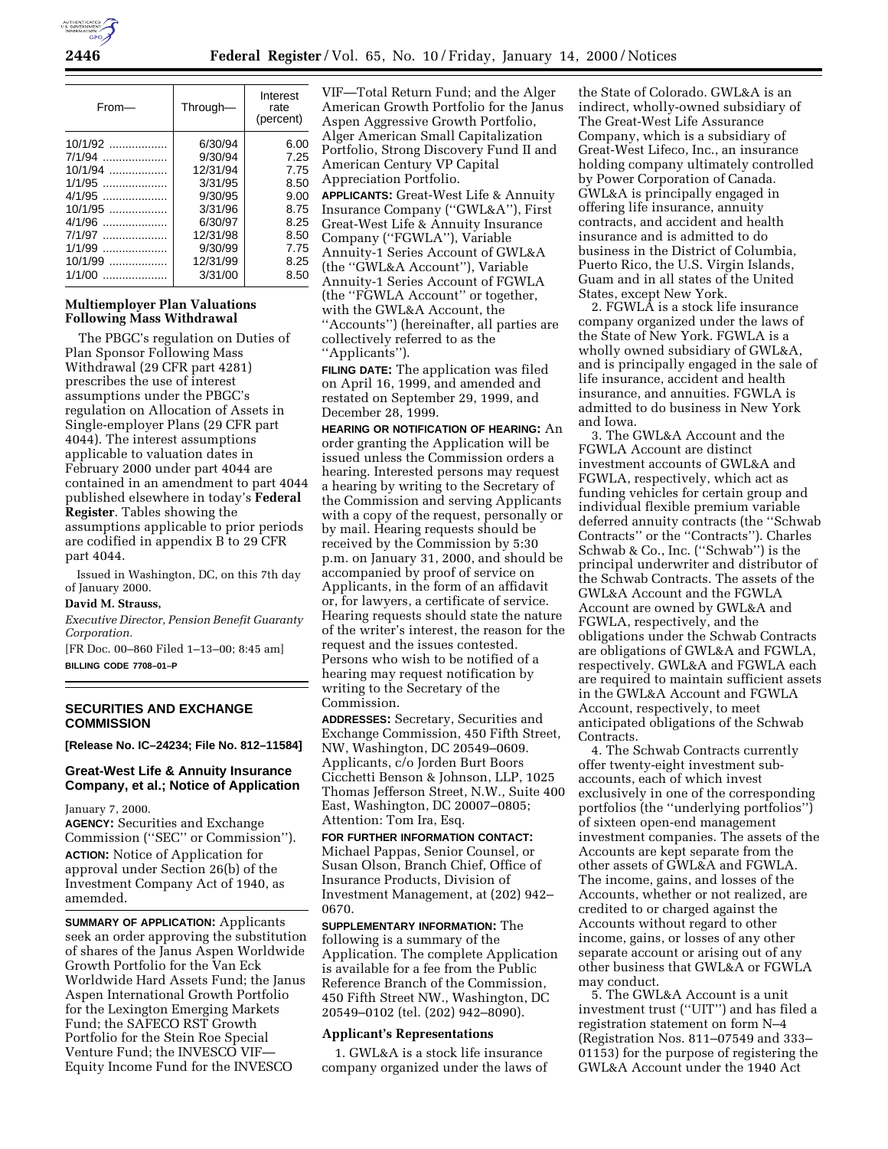

| From-       | Through- | Interest<br>rate<br>(percent) |  |
|-------------|----------|-------------------------------|--|
| 10/1/92     | 6/30/94  | 6.00                          |  |
| 7/1/94      | 9/30/94  | 7.25                          |  |
| $10/1/94$   | 12/31/94 | 7.75                          |  |
| $1/1/95$    | 3/31/95  | 8.50                          |  |
| $4/1/95$    | 9/30/95  | 9.00                          |  |
| 10/1/95     | 3/31/96  | 8.75                          |  |
| 4/1/96      | 6/30/97  | 8.25                          |  |
| 7/1/97      | 12/31/98 | 8.50                          |  |
| 1/1/99      | 9/30/99  | 7.75                          |  |
| $10/1/99$   | 12/31/99 | 8.25                          |  |
| 1/1/00<br>. | 3/31/00  | 8.50                          |  |

### **Multiemployer Plan Valuations Following Mass Withdrawal**

The PBGC's regulation on Duties of Plan Sponsor Following Mass Withdrawal (29 CFR part 4281) prescribes the use of interest assumptions under the PBGC's regulation on Allocation of Assets in Single-employer Plans (29 CFR part 4044). The interest assumptions applicable to valuation dates in February 2000 under part 4044 are contained in an amendment to part 4044 published elsewhere in today's **Federal Register**. Tables showing the assumptions applicable to prior periods are codified in appendix B to 29 CFR part 4044.

Issued in Washington, DC, on this 7th day of January 2000.

#### **David M. Strauss,**

*Executive Director, Pension Benefit Guaranty Corporation.*

[FR Doc. 00–860 Filed 1–13–00; 8:45 am] **BILLING CODE 7708–01–P**

### **SECURITIES AND EXCHANGE COMMISSION**

**[Release No. IC–24234; File No. 812–11584]**

## **Great-West Life & Annuity Insurance Company, et al.; Notice of Application**

#### January 7, 2000.

**AGENCY:** Securities and Exchange Commission (''SEC'' or Commission''). **ACTION:** Notice of Application for approval under Section 26(b) of the Investment Company Act of 1940, as amemded.

**SUMMARY OF APPLICATION:** Applicants seek an order approving the substitution of shares of the Janus Aspen Worldwide Growth Portfolio for the Van Eck Worldwide Hard Assets Fund; the Janus Aspen International Growth Portfolio for the Lexington Emerging Markets Fund; the SAFECO RST Growth Portfolio for the Stein Roe Special Venture Fund; the INVESCO VIF— Equity Income Fund for the INVESCO

VIF—Total Return Fund; and the Alger American Growth Portfolio for the Janus Aspen Aggressive Growth Portfolio, Alger American Small Capitalization Portfolio, Strong Discovery Fund II and American Century VP Capital Appreciation Portfolio. **APPLICANTS:** Great-West Life & Annuity Insurance Company (''GWL&A''), First Great-West Life & Annuity Insurance Company (''FGWLA''), Variable Annuity-1 Series Account of GWL&A (the ''GWL&A Account''), Variable Annuity-1 Series Account of FGWLA (the ''FGWLA Account'' or together, with the GWL&A Account, the ''Accounts'') (hereinafter, all parties are

collectively referred to as the ''Applicants'').

**FILING DATE:** The application was filed on April 16, 1999, and amended and restated on September 29, 1999, and December 28, 1999.

**HEARING OR NOTIFICATION OF HEARING:** An order granting the Application will be issued unless the Commission orders a hearing. Interested persons may request a hearing by writing to the Secretary of the Commission and serving Applicants with a copy of the request, personally or by mail. Hearing requests should be received by the Commission by 5:30 p.m. on January 31, 2000, and should be accompanied by proof of service on Applicants, in the form of an affidavit or, for lawyers, a certificate of service. Hearing requests should state the nature of the writer's interest, the reason for the request and the issues contested. Persons who wish to be notified of a hearing may request notification by writing to the Secretary of the Commission.

**ADDRESSES:** Secretary, Securities and Exchange Commission, 450 Fifth Street, NW, Washington, DC 20549–0609. Applicants, c/o Jorden Burt Boors Cicchetti Benson & Johnson, LLP, 1025 Thomas Jefferson Street, N.W., Suite 400 East, Washington, DC 20007–0805; Attention: Tom Ira, Esq.

**FOR FURTHER INFORMATION CONTACT:** Michael Pappas, Senior Counsel, or Susan Olson, Branch Chief, Office of Insurance Products, Division of Investment Management, at (202) 942– 0670.

**SUPPLEMENTARY INFORMATION:** The following is a summary of the Application. The complete Application is available for a fee from the Public Reference Branch of the Commission, 450 Fifth Street NW., Washington, DC 20549–0102 (tel. (202) 942–8090).

### **Applicant's Representations**

1. GWL&A is a stock life insurance company organized under the laws of

the State of Colorado. GWL&A is an indirect, wholly-owned subsidiary of The Great-West Life Assurance Company, which is a subsidiary of Great-West Lifeco, Inc., an insurance holding company ultimately controlled by Power Corporation of Canada. GWL&A is principally engaged in offering life insurance, annuity contracts, and accident and health insurance and is admitted to do business in the District of Columbia, Puerto Rico, the U.S. Virgin Islands, Guam and in all states of the United States, except New York.

2. FGWLA is a stock life insurance company organized under the laws of the State of New York. FGWLA is a wholly owned subsidiary of GWL&A, and is principally engaged in the sale of life insurance, accident and health insurance, and annuities. FGWLA is admitted to do business in New York and Iowa.

3. The GWL&A Account and the FGWLA Account are distinct investment accounts of GWL&A and FGWLA, respectively, which act as funding vehicles for certain group and individual flexible premium variable deferred annuity contracts (the ''Schwab Contracts'' or the ''Contracts''). Charles Schwab & Co., Inc. (''Schwab'') is the principal underwriter and distributor of the Schwab Contracts. The assets of the GWL&A Account and the FGWLA Account are owned by GWL&A and FGWLA, respectively, and the obligations under the Schwab Contracts are obligations of GWL&A and FGWLA, respectively. GWL&A and FGWLA each are required to maintain sufficient assets in the GWL&A Account and FGWLA Account, respectively, to meet anticipated obligations of the Schwab Contracts.

4. The Schwab Contracts currently offer twenty-eight investment subaccounts, each of which invest exclusively in one of the corresponding portfolios (the ''underlying portfolios'') of sixteen open-end management investment companies. The assets of the Accounts are kept separate from the other assets of GWL&A and FGWLA. The income, gains, and losses of the Accounts, whether or not realized, are credited to or charged against the Accounts without regard to other income, gains, or losses of any other separate account or arising out of any other business that GWL&A or FGWLA may conduct.

5. The GWL&A Account is a unit investment trust (''UIT'') and has filed a registration statement on form N–4 (Registration Nos. 811–07549 and 333– 01153) for the purpose of registering the GWL&A Account under the 1940 Act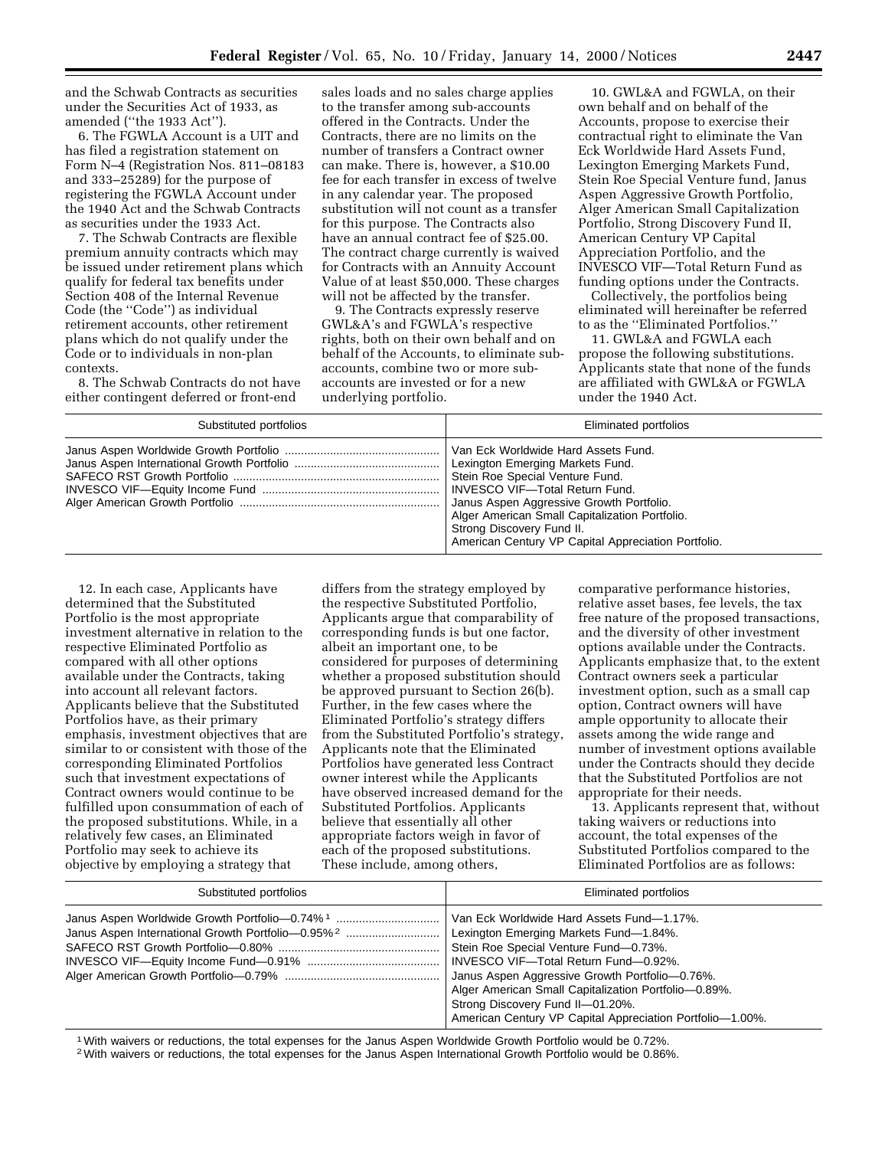and the Schwab Contracts as securities under the Securities Act of 1933, as amended (''the 1933 Act'').

6. The FGWLA Account is a UIT and has filed a registration statement on Form N–4 (Registration Nos. 811–08183 and 333–25289) for the purpose of registering the FGWLA Account under the 1940 Act and the Schwab Contracts as securities under the 1933 Act.

7. The Schwab Contracts are flexible premium annuity contracts which may be issued under retirement plans which qualify for federal tax benefits under Section 408 of the Internal Revenue Code (the ''Code'') as individual retirement accounts, other retirement plans which do not qualify under the Code or to individuals in non-plan contexts.

8. The Schwab Contracts do not have either contingent deferred or front-end

sales loads and no sales charge applies to the transfer among sub-accounts offered in the Contracts. Under the Contracts, there are no limits on the number of transfers a Contract owner can make. There is, however, a \$10.00 fee for each transfer in excess of twelve in any calendar year. The proposed substitution will not count as a transfer for this purpose. The Contracts also have an annual contract fee of \$25.00. The contract charge currently is waived for Contracts with an Annuity Account Value of at least \$50,000. These charges will not be affected by the transfer.

9. The Contracts expressly reserve GWL&A's and FGWLA's respective rights, both on their own behalf and on behalf of the Accounts, to eliminate subaccounts, combine two or more subaccounts are invested or for a new underlying portfolio.

10. GWL&A and FGWLA, on their own behalf and on behalf of the Accounts, propose to exercise their contractual right to eliminate the Van Eck Worldwide Hard Assets Fund, Lexington Emerging Markets Fund, Stein Roe Special Venture fund, Janus Aspen Aggressive Growth Portfolio, Alger American Small Capitalization Portfolio, Strong Discovery Fund II, American Century VP Capital Appreciation Portfolio, and the INVESCO VIF—Total Return Fund as funding options under the Contracts.

Collectively, the portfolios being eliminated will hereinafter be referred to as the ''Eliminated Portfolios.''

11. GWL&A and FGWLA each propose the following substitutions. Applicants state that none of the funds are affiliated with GWL&A or FGWLA under the 1940 Act.

| Substituted portfolios | Eliminated portfolios                               |  |  |
|------------------------|-----------------------------------------------------|--|--|
|                        | Stein Roe Special Venture Fund.                     |  |  |
|                        | Janus Aspen Aggressive Growth Portfolio.            |  |  |
|                        | Alger American Small Capitalization Portfolio.      |  |  |
|                        | Strong Discovery Fund II.                           |  |  |
|                        | American Century VP Capital Appreciation Portfolio. |  |  |

12. In each case, Applicants have determined that the Substituted Portfolio is the most appropriate investment alternative in relation to the respective Eliminated Portfolio as compared with all other options available under the Contracts, taking into account all relevant factors. Applicants believe that the Substituted Portfolios have, as their primary emphasis, investment objectives that are similar to or consistent with those of the corresponding Eliminated Portfolios such that investment expectations of Contract owners would continue to be fulfilled upon consummation of each of the proposed substitutions. While, in a relatively few cases, an Eliminated Portfolio may seek to achieve its objective by employing a strategy that

differs from the strategy employed by the respective Substituted Portfolio, Applicants argue that comparability of corresponding funds is but one factor, albeit an important one, to be considered for purposes of determining whether a proposed substitution should be approved pursuant to Section 26(b). Further, in the few cases where the Eliminated Portfolio's strategy differs from the Substituted Portfolio's strategy, Applicants note that the Eliminated Portfolios have generated less Contract owner interest while the Applicants have observed increased demand for the Substituted Portfolios. Applicants believe that essentially all other appropriate factors weigh in favor of each of the proposed substitutions. These include, among others,

comparative performance histories, relative asset bases, fee levels, the tax free nature of the proposed transactions, and the diversity of other investment options available under the Contracts. Applicants emphasize that, to the extent Contract owners seek a particular investment option, such as a small cap option, Contract owners will have ample opportunity to allocate their assets among the wide range and number of investment options available under the Contracts should they decide that the Substituted Portfolios are not appropriate for their needs.

13. Applicants represent that, without taking waivers or reductions into account, the total expenses of the Substituted Portfolios compared to the Eliminated Portfolios are as follows:

| Substituted portfolios                                                                                                     | Eliminated portfolios                                                                                                                                                                                                                                                                                                                                                           |  |  |
|----------------------------------------------------------------------------------------------------------------------------|---------------------------------------------------------------------------------------------------------------------------------------------------------------------------------------------------------------------------------------------------------------------------------------------------------------------------------------------------------------------------------|--|--|
| Janus Aspen Worldwide Growth Portfolio-0.74% <sup>1</sup><br>Janus Aspen International Growth Portfolio-0.95% <sup>2</sup> | Van Eck Worldwide Hard Assets Fund-1.17%.<br>Lexington Emerging Markets Fund-1.84%.<br>Stein Roe Special Venture Fund-0.73%.<br>INVESCO VIF-Total Return Fund-0.92%.<br>Janus Aspen Aggressive Growth Portfolio-0.76%.<br>Alger American Small Capitalization Portfolio-0.89%.<br>Strong Discovery Fund II-01.20%.<br>American Century VP Capital Appreciation Portfolio-1.00%. |  |  |

1With waivers or reductions, the total expenses for the Janus Aspen Worldwide Growth Portfolio would be 0.72%.

2With waivers or reductions, the total expenses for the Janus Aspen International Growth Portfolio would be 0.86%.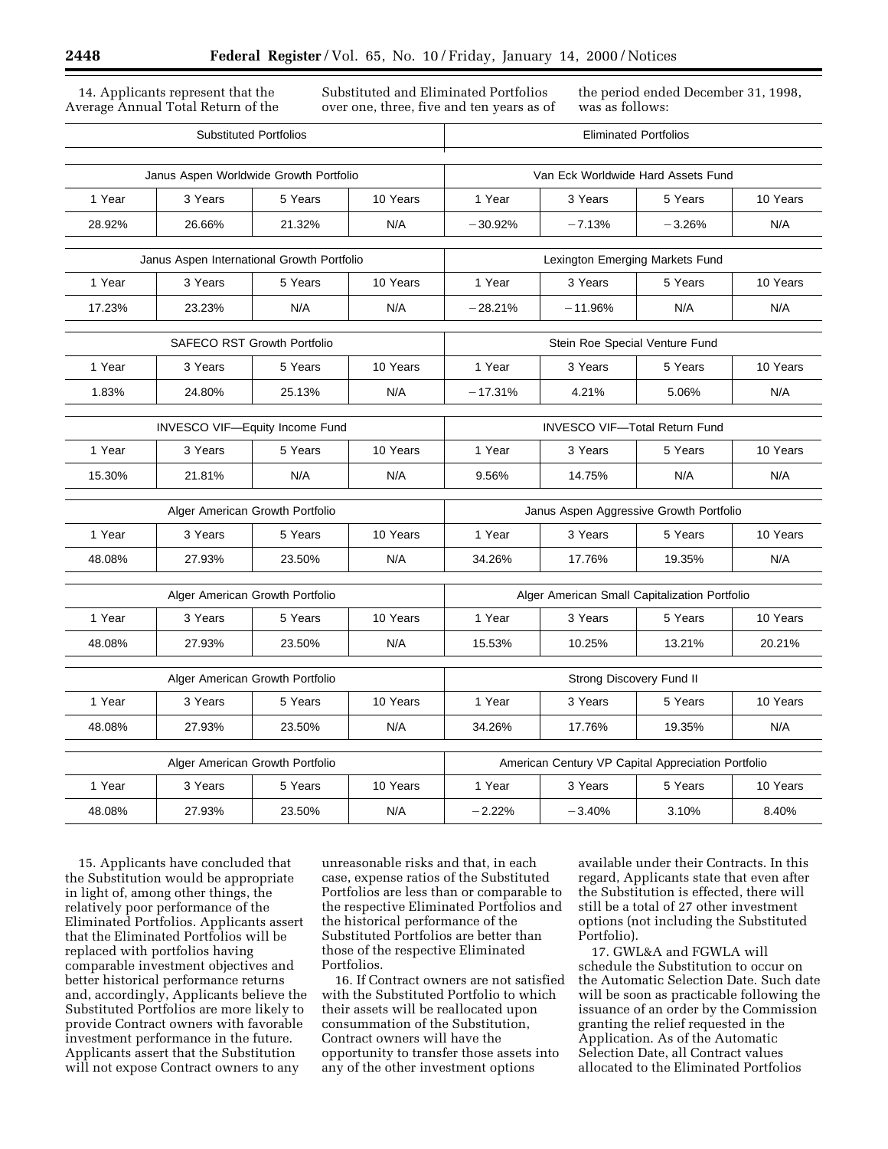14. Applicants represent that the Average Annual Total Return of the Substituted and Eliminated Portfolios over one, three, five and ten years as of the period ended December 31, 1998, was as follows:

| <b>Substituted Portfolios</b>              |                                       | <b>Eliminated Portfolios</b>                       |                                          |                              |           |          |          |
|--------------------------------------------|---------------------------------------|----------------------------------------------------|------------------------------------------|------------------------------|-----------|----------|----------|
| Janus Aspen Worldwide Growth Portfolio     |                                       | Van Eck Worldwide Hard Assets Fund                 |                                          |                              |           |          |          |
| 1 Year                                     | 3 Years                               | 5 Years                                            | 10 Years                                 | 1 Year<br>3 Years<br>5 Years |           | 10 Years |          |
| 28.92%                                     | 26.66%                                | 21.32%                                             | N/A                                      | $-30.92%$                    | $-7.13%$  | $-3.26%$ | N/A      |
| Janus Aspen International Growth Portfolio |                                       | Lexington Emerging Markets Fund                    |                                          |                              |           |          |          |
| 1 Year                                     | 3 Years                               | 5 Years                                            | 10 Years                                 | 1 Year                       | 3 Years   | 5 Years  | 10 Years |
| 17.23%                                     | 23.23%                                | N/A                                                | N/A                                      | $-28.21%$                    | $-11.96%$ | N/A      | N/A      |
| <b>SAFECO RST Growth Portfolio</b>         |                                       | Stein Roe Special Venture Fund                     |                                          |                              |           |          |          |
| 1 Year                                     | 3 Years                               | 5 Years                                            | 10 Years                                 | 1 Year                       | 3 Years   | 5 Years  | 10 Years |
| 1.83%                                      | 24.80%                                | 25.13%                                             | N/A                                      | $-17.31%$                    | 4.21%     | 5.06%    | N/A      |
|                                            | <b>INVESCO VIF-Equity Income Fund</b> |                                                    | <b>INVESCO VIF-Total Return Fund</b>     |                              |           |          |          |
| 1 Year                                     | 3 Years<br>5 Years<br>10 Years        |                                                    | 1 Year<br>10 Years<br>3 Years<br>5 Years |                              |           |          |          |
| 15.30%                                     | 21.81%                                | N/A                                                | N/A                                      | 9.56%                        | 14.75%    | N/A      | N/A      |
|                                            |                                       |                                                    |                                          |                              |           |          |          |
| Alger American Growth Portfolio            |                                       | Janus Aspen Aggressive Growth Portfolio            |                                          |                              |           |          |          |
| 1 Year                                     | 3 Years                               | 5 Years                                            | 10 Years                                 | 1 Year                       | 3 Years   | 5 Years  | 10 Years |
| 48.08%                                     | 27.93%                                | 23.50%                                             | N/A                                      | 34.26%                       | 17.76%    | 19.35%   | N/A      |
| Alger American Growth Portfolio            |                                       | Alger American Small Capitalization Portfolio      |                                          |                              |           |          |          |
| 1 Year                                     | 3 Years                               | 5 Years                                            | 10 Years                                 | 1 Year                       | 3 Years   | 5 Years  | 10 Years |
| 48.08%                                     | 27.93%                                | 23.50%                                             | N/A                                      | 15.53%                       | 10.25%    | 13.21%   | 20.21%   |
| Alger American Growth Portfolio            |                                       | Strong Discovery Fund II                           |                                          |                              |           |          |          |
| 1 Year                                     | 3 Years                               | 5 Years                                            | 10 Years                                 | 1 Year                       | 3 Years   | 5 Years  | 10 Years |
| 48.08%                                     | 27.93%                                | 23.50%                                             | N/A                                      | 34.26%                       | 17.76%    | 19.35%   | N/A      |
| Alger American Growth Portfolio            |                                       | American Century VP Capital Appreciation Portfolio |                                          |                              |           |          |          |
| 1 Year                                     | 3 Years                               | 5 Years                                            | 10 Years                                 | 1 Year                       | 3 Years   | 5 Years  | 10 Years |
| 48.08%                                     | 27.93%                                | 23.50%                                             | N/A                                      | $-2.22%$                     | $-3.40%$  | 3.10%    | 8.40%    |
|                                            |                                       |                                                    |                                          |                              |           |          |          |

15. Applicants have concluded that the Substitution would be appropriate in light of, among other things, the relatively poor performance of the Eliminated Portfolios. Applicants assert that the Eliminated Portfolios will be replaced with portfolios having comparable investment objectives and better historical performance returns and, accordingly, Applicants believe the Substituted Portfolios are more likely to provide Contract owners with favorable investment performance in the future. Applicants assert that the Substitution will not expose Contract owners to any

unreasonable risks and that, in each case, expense ratios of the Substituted Portfolios are less than or comparable to the respective Eliminated Portfolios and the historical performance of the Substituted Portfolios are better than those of the respective Eliminated Portfolios.

16. If Contract owners are not satisfied with the Substituted Portfolio to which their assets will be reallocated upon consummation of the Substitution, Contract owners will have the opportunity to transfer those assets into any of the other investment options

available under their Contracts. In this regard, Applicants state that even after the Substitution is effected, there will still be a total of 27 other investment options (not including the Substituted Portfolio).

17. GWL&A and FGWLA will schedule the Substitution to occur on the Automatic Selection Date. Such date will be soon as practicable following the issuance of an order by the Commission granting the relief requested in the Application. As of the Automatic Selection Date, all Contract values allocated to the Eliminated Portfolios